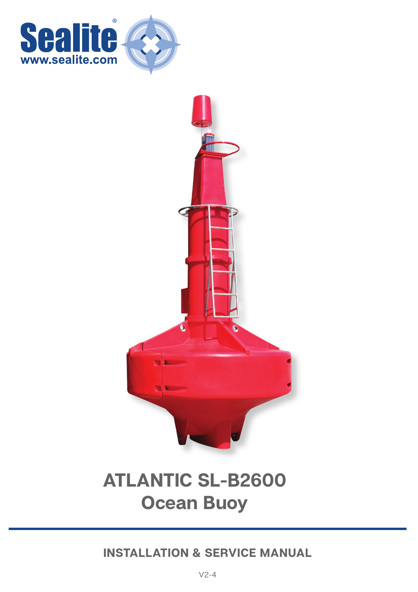



# **ATLANTIC SL-B2600 Ocean Buoy**

**INSTALLATION & SERVICE MANUAL**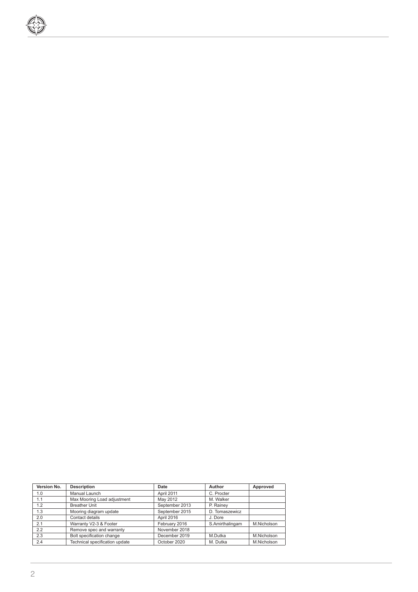

| Version No. | <b>Description</b>             | Date           | Author          | Approved    |
|-------------|--------------------------------|----------------|-----------------|-------------|
| 1.0         | Manual Launch                  | April 2011     | C. Procter      |             |
| 1.1         | Max Mooring Load adjustment    | May 2012       | M. Walker       |             |
| 12          | <b>Breather Unit</b>           | September 2013 | P. Rainey       |             |
| 1.3         | Mooring diagram update         | September 2015 | D. Tomaszewicz  |             |
| 2.0         | Contact details                | April 2016     | J. Dore         |             |
| 2.1         | Warranty V2-3 & Footer         | February 2016  | S.Amirthalingam | M.Nicholson |
| 22          | Remove spec and warranty       | November 2018  |                 |             |
| 2.3         | Bolt specification change      | December 2019  | M.Dutka         | M.Nicholson |
| 2.4         | Technical specification update | October 2020   | M. Dutka        | M.Nicholson |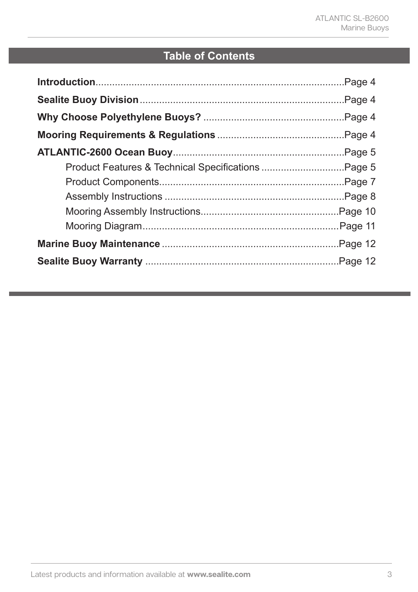## **Table of Contents**

| Product Features & Technical Specifications Page 5 |  |
|----------------------------------------------------|--|
|                                                    |  |
|                                                    |  |
|                                                    |  |
|                                                    |  |
|                                                    |  |
|                                                    |  |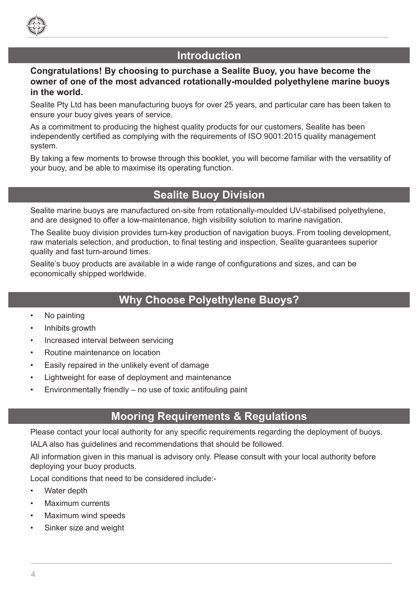

## **Introduction**

## **Congratulations! By choosing to purchase a Sealite Buoy, you have become the owner of one of the most advanced rotationally-moulded polyethylene marine buoys in the world.**

Sealite Pty Ltd has been manufacturing buoys for over 25 years, and particular care has been taken to ensure your buoy gives years of service.

As a commitment to producing the highest quality products for our customers, Sealite has been independently certified as complying with the requirements of ISO 9001:2015 quality management system.

By taking a few moments to browse through this booklet, you will become familiar with the versatility of your buoy, and be able to maximise its operating function.

## **Sealite Buoy Division**

Sealite marine buoys are manufactured on-site from rotationally-moulded UV-stabilised polyethylene, and are designed to offer a low-maintenance, high visibility solution to marine navigation.

The Sealite buoy division provides turn-key production of navigation buoys. From tooling development, raw materials selection, and production, to final testing and inspection, Sealite guarantees superior quality and fast turn-around times.

Sealite's buoy products are available in a wide range of configurations and sizes, and can be economically shipped worldwide.

## **Why Choose Polyethylene Buoys?**

- No painting
- Inhibits growth
- Increased interval between servicing
- Routine maintenance on location
- Easily repaired in the unlikely event of damage
- Lightweight for ease of deployment and maintenance
- Environmentally friendly no use of toxic antifouling paint

## **Mooring Requirements & Regulations**

Please contact your local authority for any specific requirements regarding the deployment of buoys.

IALA also has guidelines and recommendations that should be followed.

All information given in this manual is advisory only. Please consult with your local authority before deploying your buoy products.

Local conditions that need to be considered include:-

- Water depth
- Maximum currents
- Maximum wind speeds
- Sinker size and weight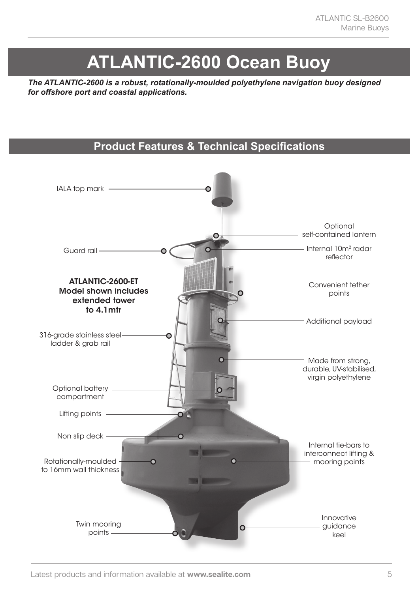# **ATLANTIC-2600 Ocean Buoy**

*The ATLANTIC-2600 is a robust, rotationally-moulded polyethylene navigation buoy designed for offshore port and coastal applications.*

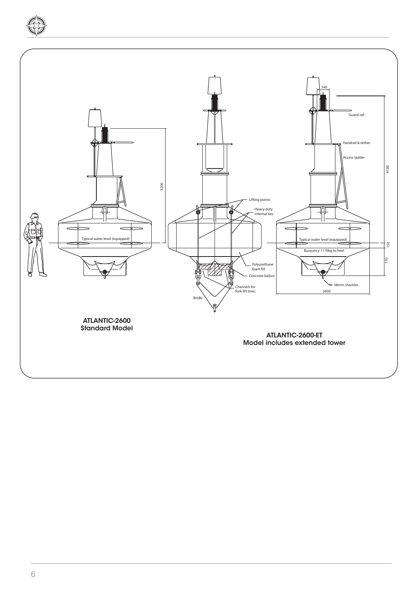

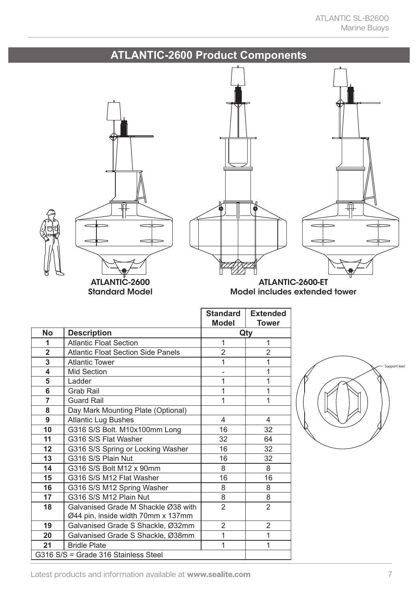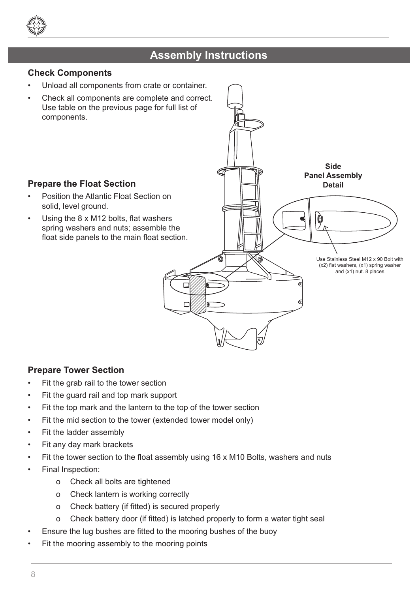

## **Atlantic - 2600 Navigation Buoy Assembly Instructions**

## **Check Components**

- Unload all components from crate or container.
- Check all components are complete and correct. Use table on the previous page for full list of components.

## **Prepare the Float Section**

- Position the Atlantic Float Section on solid, level ground.
- Using the 8 x M12 bolts, flat washers spring washers and nuts; assemble the float side panels to the main float section.

**Side Panel Assembly Detail**

> Use Stainless Steel M12 x 90 Bolt with (x2) flat washers, (x1) spring washer and (x1) nut. 8 places

## **Prepare Tower Section**

- Fit the grab rail to the tower section
- Fit the guard rail and top mark support
- Fit the top mark and the lantern to the top of the tower section
- Fit the mid section to the tower (extended tower model only)
- Fit the ladder assembly
- Fit any day mark brackets
- Fit the tower section to the float assembly using 16 x M10 Bolts, washers and nuts
- Final Inspection:
	- o Check all bolts are tightened
	- o Check lantern is working correctly
	- o Check battery (if fitted) is secured properly
	- o Check battery door (if fitted) is latched properly to form a water tight seal
- Ensure the lug bushes are fitted to the mooring bushes of the buoy
- Fit the mooring assembly to the mooring points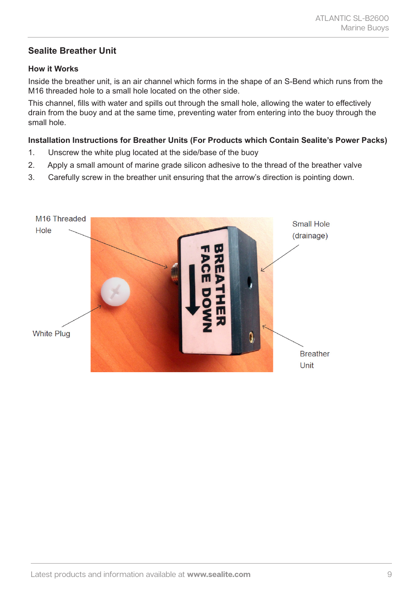## **Sealite Breather Unit**

## **How it Works**

Inside the breather unit, is an air channel which forms in the shape of an S-Bend which runs from the M16 threaded hole to a small hole located on the other side.

This channel, fills with water and spills out through the small hole, allowing the water to effectively drain from the buoy and at the same time, preventing water from entering into the buoy through the small hole.

#### **Installation Instructions for Breather Units (For Products which Contain Sealite's Power Packs)**

- 1. Unscrew the white plug located at the side/base of the buoy
- 2. Apply a small amount of marine grade silicon adhesive to the thread of the breather valve
- 3. Carefully screw in the breather unit ensuring that the arrow's direction is pointing down.

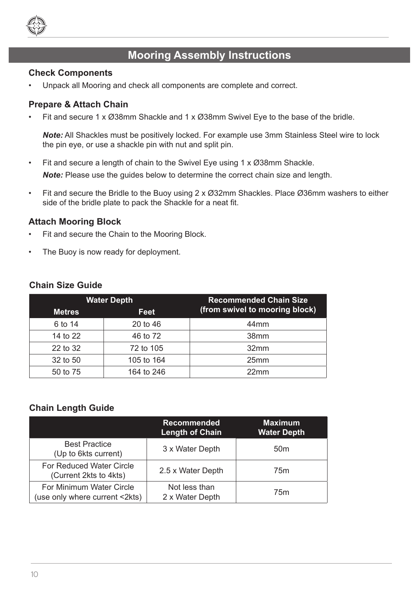

## **Mooring Assembly Instructions**

#### **Check Components**

• Unpack all Mooring and check all components are complete and correct.

### **Prepare & Attach Chain**

Fit and secure 1 x Ø38mm Shackle and 1 x Ø38mm Swivel Eye to the base of the bridle.

*Note:* All Shackles must be positively locked. For example use 3mm Stainless Steel wire to lock the pin eye, or use a shackle pin with nut and split pin.

- Fit and secure a length of chain to the Swivel Eye using 1 x Ø38mm Shackle. *Note:* Please use the guides below to determine the correct chain size and length.
- Fit and secure the Bridle to the Buoy using  $2 \times \emptyset$ 32mm Shackles. Place  $\emptyset$ 36mm washers to either side of the bridle plate to pack the Shackle for a neat fit.

#### **Attach Mooring Block**

- Fit and secure the Chain to the Mooring Block.
- The Buoy is now ready for deployment.

|               | <b>Water Depth</b> | <b>Recommended Chain Size</b><br>(from swivel to mooring block) |  |
|---------------|--------------------|-----------------------------------------------------------------|--|
| <b>Metres</b> | <b>Feet</b>        |                                                                 |  |
| 6 to 14       | 20 to 46           | 44 <sub>mm</sub>                                                |  |
| 14 to 22      | 46 to 72           | 38mm                                                            |  |
| 22 to 32      | 72 to 105          | 32mm                                                            |  |
| 32 to 50      | 105 to 164         | 25mm                                                            |  |
| 50 to 75      | 164 to 246         | 22mm                                                            |  |

#### **Chain Size Guide**

## **Chain Length Guide**

|                                                            | <b>Recommended</b><br>Length of Chain | <b>Maximum</b><br><b>Water Depth</b> |
|------------------------------------------------------------|---------------------------------------|--------------------------------------|
| <b>Best Practice</b><br>(Up to 6kts current)               | 3 x Water Depth                       | 50 <sub>m</sub>                      |
| For Reduced Water Circle<br>(Current 2kts to 4kts)         | 2.5 x Water Depth                     | 75m                                  |
| For Minimum Water Circle<br>(use only where current <2kts) | Not less than<br>2 x Water Depth      | 75m                                  |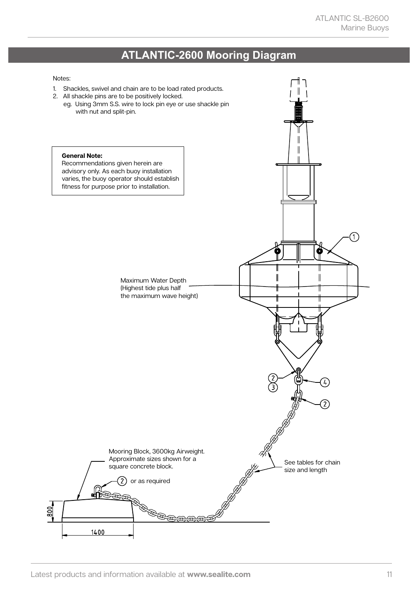## **ATLANTIC-2600 Mooring Diagram**

#### Notes: